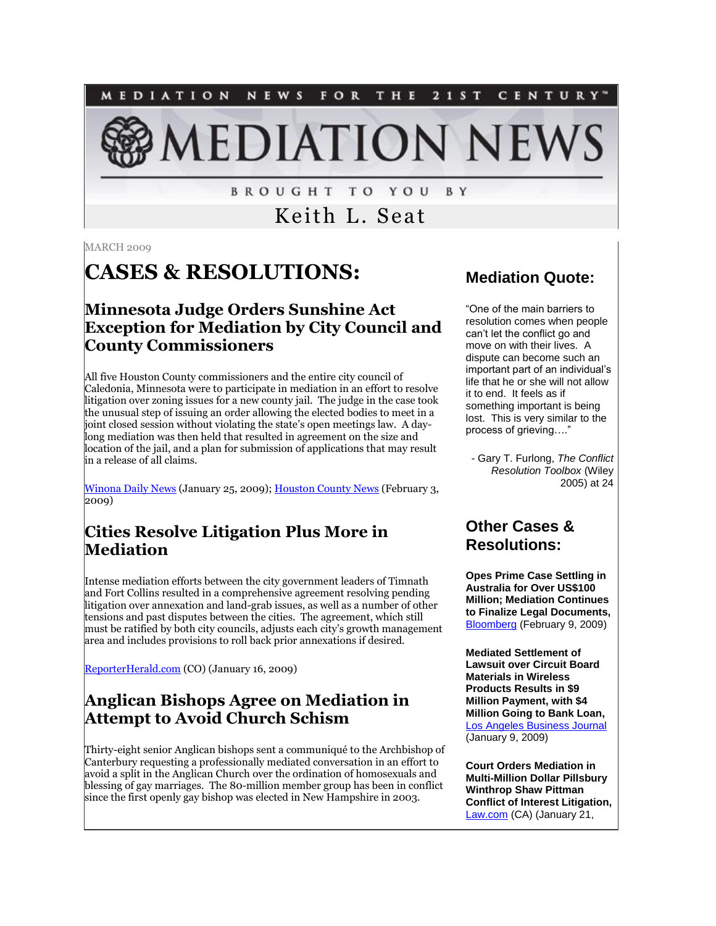NEWS FOR THE 21ST CENTURY" MEDIATION

**EDIATION NEV** 

**BROUGHT TO YOU** B Y

# Keith L. Seat

**MARCH 2009** 

# **CASES & RESOLUTIONS:**

#### **Minnesota Judge Orders Sunshine Act Exception for Mediation by City Council and County Commissioners**

All five Houston County commissioners and the entire city council of Caledonia, Minnesota were to participate in mediation in an effort to resolve litigation over zoning issues for a new county jail. The judge in the case took the unusual step of issuing an order allowing the elected bodies to meet in a joint closed session without violating the state's open meetings law. A daylong mediation was then held that resulted in agreement on the size and location of the jail, and a plan for submission of applications that may result in a release of all claims.

[Winona Daily News](http://www.winonadailynews.com/articles/2009/01/25/news/03jail.txt) (January 25, 2009); [Houston County News](http://www.houstonconews.com/articles/2009/02/03/news/01countyboard.txt) (February 3, 2009)

# **Cities Resolve Litigation Plus More in Mediation**

Intense mediation efforts between the city government leaders of Timnath and Fort Collins resulted in a comprehensive agreement resolving pending litigation over annexation and land-grab issues, as well as a number of other tensions and past disputes between the cities. The agreement, which still must be ratified by both city councils, adjusts each city's growth management area and includes provisions to roll back prior annexations if desired.

[ReporterHerald.com](http://www.reporterherald.com/print.asp?ID=21021) (CO) (January 16, 2009)

# **Anglican Bishops Agree on Mediation in Attempt to Avoid Church Schism**

Thirty-eight senior Anglican bishops sent a communiqué to the Archbishop of Canterbury requesting a professionally mediated conversation in an effort to avoid a split in the Anglican Church over the ordination of homosexuals and blessing of gay marriages. The 80-million member group has been in conflict since the first openly gay bishop was elected in New Hampshire in 2003.

#### **Mediation Quote:**

"One of the main barriers to resolution comes when people can't let the conflict go and move on with their lives. A dispute can become such an important part of an individual's life that he or she will not allow it to end. It feels as if something important is being lost. This is very similar to the process of grieving…."

- Gary T. Furlong, *The Conflict Resolution Toolbox* (Wiley 2005) at 24

#### **Other Cases & Resolutions:**

**Opes Prime Case Settling in Australia for Over US\$100 Million; Mediation Continues to Finalize Legal Documents,**  [Bloomberg](http://www.bloomberg.com/apps/news?pid=20601081&sid=adyBHNxv3F5k&refer=australia) (February 9, 2009)

**Mediated Settlement of Lawsuit over Circuit Board Materials in Wireless Products Results in \$9 Million Payment, with \$4 Million Going to Bank Loan,**  [Los Angeles Business Journal](http://tinyurl.com/bewcmh) (January 9, 2009)

**Court Orders Mediation in Multi-Million Dollar Pillsbury Winthrop Shaw Pittman Conflict of Interest Litigation,**  [Law.com](http://www.law.com/jsp/article.jsp?id=1202427605770) (CA) (January 21,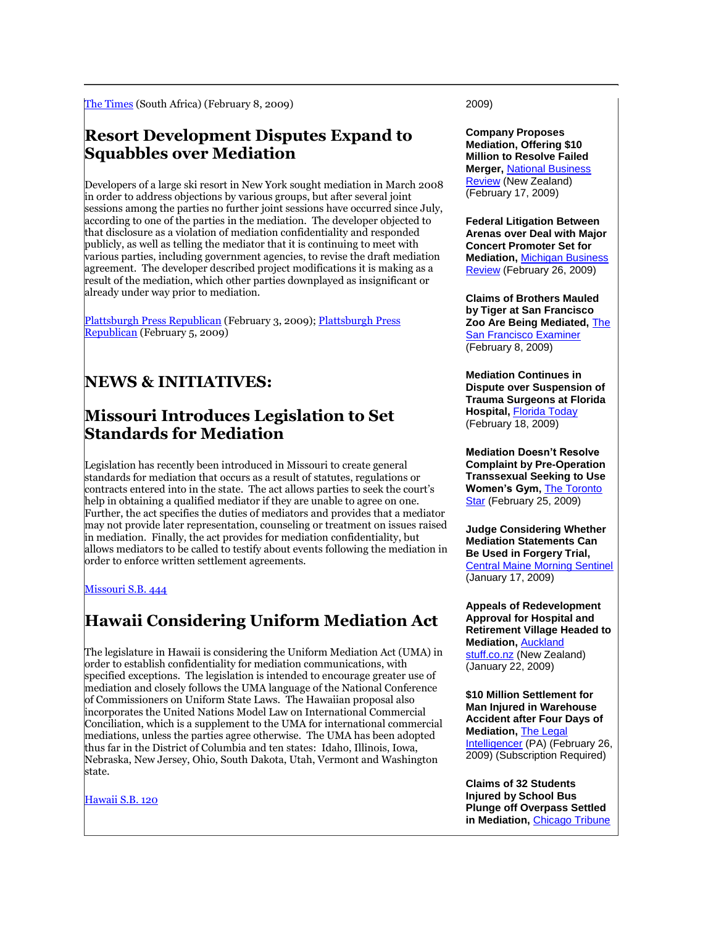[The Times](http://www.thetimes.co.za/PrintEdition/News/Article.aspx?id=934458) (South Africa) (February 8, 2009)

#### **Resort Development Disputes Expand to Squabbles over Mediation**

Developers of a large ski resort in New York sought mediation in March 2008 in order to address objections by various groups, but after several joint sessions among the parties no further joint sessions have occurred since July, according to one of the parties in the mediation. The developer objected to that disclosure as a violation of mediation confidentiality and responded publicly, as well as telling the mediator that it is continuing to meet with various parties, including government agencies, to revise the draft mediation agreement. The developer described project modifications it is making as a result of the mediation, which other parties downplayed as insignificant or already under way prior to mediation.

[Plattsburgh Press Republican](http://www.pressrepublican.com/homepage/local_story_034234025.html) (February 3, 2009)[; Plattsburgh Press](http://www.pressrepublican.com/homepage/local_story_036230033.html)  [Republican](http://www.pressrepublican.com/homepage/local_story_036230033.html) (February 5, 2009)

# **NEWS & INITIATIVES:**

### **Missouri Introduces Legislation to Set Standards for Mediation**

Legislation has recently been introduced in Missouri to create general standards for mediation that occurs as a result of statutes, regulations or contracts entered into in the state. The act allows parties to seek the court's help in obtaining a qualified mediator if they are unable to agree on one. Further, the act specifies the duties of mediators and provides that a mediator may not provide later representation, counseling or treatment on issues raised in mediation. Finally, the act provides for mediation confidentiality, but allows mediators to be called to testify about events following the mediation in order to enforce written settlement agreements.

#### [Missouri S.B. 444](http://www.senate.mo.gov/09info/BTS_Web/BillText.aspx?SessionType=R&BillID=938190)

#### **Hawaii Considering Uniform Mediation Act**

The legislature in Hawaii is considering the Uniform Mediation Act (UMA) in order to establish confidentiality for mediation communications, with specified exceptions. The legislation is intended to encourage greater use of mediation and closely follows the UMA language of the National Conference of Commissioners on Uniform State Laws. The Hawaiian proposal also incorporates the United Nations Model Law on International Commercial Conciliation, which is a supplement to the UMA for international commercial mediations, unless the parties agree otherwise. The UMA has been adopted thus far in the District of Columbia and ten states: Idaho, Illinois, Iowa, Nebraska, New Jersey, Ohio, South Dakota, Utah, Vermont and Washington state.

[Hawaii S.B. 120](http://www.capitol.hawaii.gov/session2009/bills/SB120_.pdf)

2009)

**Company Proposes Mediation, Offering \$10 Million to Resolve Failed Merger,** [National Business](http://www.nbr.co.nz/article/pgg-wrightson-offers-mediation-over-failed-deal-54610)  [Review](http://www.nbr.co.nz/article/pgg-wrightson-offers-mediation-over-failed-deal-54610) (New Zealand) (February 17, 2009)

**Federal Litigation Between Arenas over Deal with Major Concert Promoter Set for Mediation,** [Michigan Business](http://www.mlive.com/business/west-michigan/index.ssf/2009/02/mediator_to_review_deltaplex_l.html)  [Review](http://www.mlive.com/business/west-michigan/index.ssf/2009/02/mediator_to_review_deltaplex_l.html) (February 26, 2009)

**Claims of Brothers Mauled by Tiger at San Francisco Zoo Are Being Mediated,** [The](http://www.sfexaminer.com/local/Mediator-enters-mauling-case-talks39245952.html)  [San Francisco Examiner](http://www.sfexaminer.com/local/Mediator-enters-mauling-case-talks39245952.html) (February 8, 2009)

**Mediation Continues in Dispute over Suspension of Trauma Surgeons at Florida Hospital,** [Florida Today](http://www.floridatoday.com/favicon.ico) (February 18, 2009)

**Mediation Doesn't Resolve Complaint by Pre-Operation Transsexual Seeking to Use Women's Gym,** [The Toronto](http://www.thestar.com/News/Ontario/article/593117)  [Star](http://www.thestar.com/News/Ontario/article/593117) (February 25, 2009)

**Judge Considering Whether Mediation Statements Can Be Used in Forgery Trial,**  [Central Maine Morning Sentinel](http://morningsentinel.mainetoday.com/news/local/5830507.html) (January 17, 2009)

**Appeals of Redevelopment Approval for Hospital and Retirement Village Headed to Mediation,** [Auckland](http://www.stuff.co.nz/stuff/sundaystartimes/auckland/4826627a6497.html)  [stuff.co.nz](http://www.stuff.co.nz/stuff/sundaystartimes/auckland/4826627a6497.html) (New Zealand) (January 22, 2009)

**\$10 Million Settlement for Man Injured in Warehouse Accident after Four Days of Mediation,** [The Legal](http://tinyurl.com/dzqba4)  [Intelligencer](http://tinyurl.com/dzqba4) (PA) (February 26, 2009) (Subscription Required)

**Claims of 32 Students Injured by School Bus Plunge off Overpass Settled in Mediation,** [Chicago Tribune](http://www.chicagotribune.com/news/chi-ap-al-schoolbus-settlem,0,7601289.story)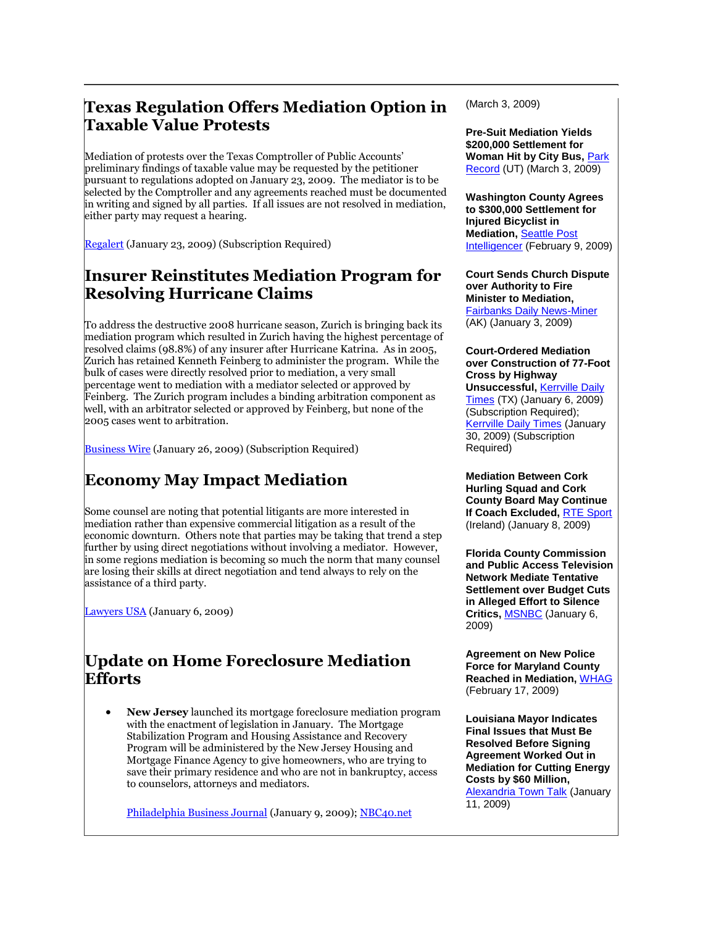# **Texas Regulation Offers Mediation Option in Taxable Value Protests**

Mediation of protests over the Texas Comptroller of Public Accounts' preliminary findings of taxable value may be requested by the petitioner pursuant to regulations adopted on January 23, 2009. The mediator is to be selected by the Comptroller and any agreements reached must be documented in writing and signed by all parties. If all issues are not resolved in mediation, either party may request a hearing.

[Regalert](http://tinyurl.com/ajxzsy) (January 23, 2009) (Subscription Required)

### **Insurer Reinstitutes Mediation Program for Resolving Hurricane Claims**

To address the destructive 2008 hurricane season, Zurich is bringing back its mediation program which resulted in Zurich having the highest percentage of resolved claims (98.8%) of any insurer after Hurricane Katrina. As in 2005, Zurich has retained Kenneth Feinberg to administer the program. While the bulk of cases were directly resolved prior to mediation, a very small percentage went to mediation with a mediator selected or approved by Feinberg. The Zurich program includes a binding arbitration component as well, with an arbitrator selected or approved by Feinberg, but none of the 2005 cases went to arbitration.

[Business Wire](http://tinyurl.com/cjfcg2) (January 26, 2009) (Subscription Required)

# **Economy May Impact Mediation**

Some counsel are noting that potential litigants are more interested in mediation rather than expensive commercial litigation as a result of the economic downturn. Others note that parties may be taking that trend a step further by using direct negotiations without involving a mediator. However, in some regions mediation is becoming so much the norm that many counsel are losing their skills at direct negotiation and tend always to rely on the assistance of a third party.

[Lawyers USA](http://www.lawyersusaonline.com/index.cfm/archive/view/id/432553) (January 6, 2009)

#### **Update on Home Foreclosure Mediation Efforts**

 **New Jersey** launched its mortgage foreclosure mediation program with the enactment of legislation in January. The Mortgage Stabilization Program and Housing Assistance and Recovery Program will be administered by the New Jersey Housing and Mortgage Finance Agency to give homeowners, who are trying to save their primary residence and who are not in bankruptcy, access to counselors, attorneys and mediators.

[Philadelphia Business Journal](http://www.bizjournals.com/philadelphia/stories/2009/01/05/daily55.html) (January 9, 2009); [NBC40.net](http://www.nbc40.net/view_story.php?id=7980)

(March 3, 2009)

**Pre-Suit Mediation Yields \$200,000 Settlement for Woman Hit by City Bus,** [Park](http://www.parkrecord.com/ci_11827720)  [Record](http://www.parkrecord.com/ci_11827720) (UT) (March 3, 2009)

**Washington County Agrees to \$300,000 Settlement for Injured Bicyclist in Mediation,** [Seattle Post](http://seattlepi.nwsource.com/local/6420ap_wa_crash_settlement.html)  [Intelligencer](http://seattlepi.nwsource.com/local/6420ap_wa_crash_settlement.html) (February 9, 2009)

**Court Sends Church Dispute over Authority to Fire Minister to Mediation,**  [Fairbanks Daily News-Miner](http://newsminer.com/news/2009/jan/03/judge-scolds-church-members-defying-court-order) (AK) (January 3, 2009)

**Court-Ordered Mediation over Construction of 77-Foot Cross by Highway Unsuccessful,** [Kerrville Daily](http://tinyurl.com/b8o2oj)  [Times](http://tinyurl.com/b8o2oj) (TX) (January 6, 2009) (Subscription Required); [Kerrville Daily Times](http://tinyurl.com/dyjc7o) (January 30, 2009) (Subscription Required)

**Mediation Between Cork Hurling Squad and Cork County Board May Continue If Coach Excluded,** [RTE Sport](http://www.rte.ie/sport/gaa/championship/2009/0108/cork.html) (Ireland) (January 8, 2009)

**Florida County Commission and Public Access Television Network Mediate Tentative Settlement over Budget Cuts in Alleged Effort to Silence Critics,** [MSNBC](http://www.msnbc.msn.com/id/28523186) (January 6, 2009)

**Agreement on New Police Force for Maryland County Reached in Mediation,** [WHAG](http://your4state.com/content/fulltext/?cid=54162) (February 17, 2009)

**Louisiana Mayor Indicates Final Issues that Must Be Resolved Before Signing Agreement Worked Out in Mediation for Cutting Energy Costs by \$60 Million,**  [Alexandria Town Talk](http://www.thetowntalk.com/article/20090111/NEWS01/901110304) (January 11, 2009)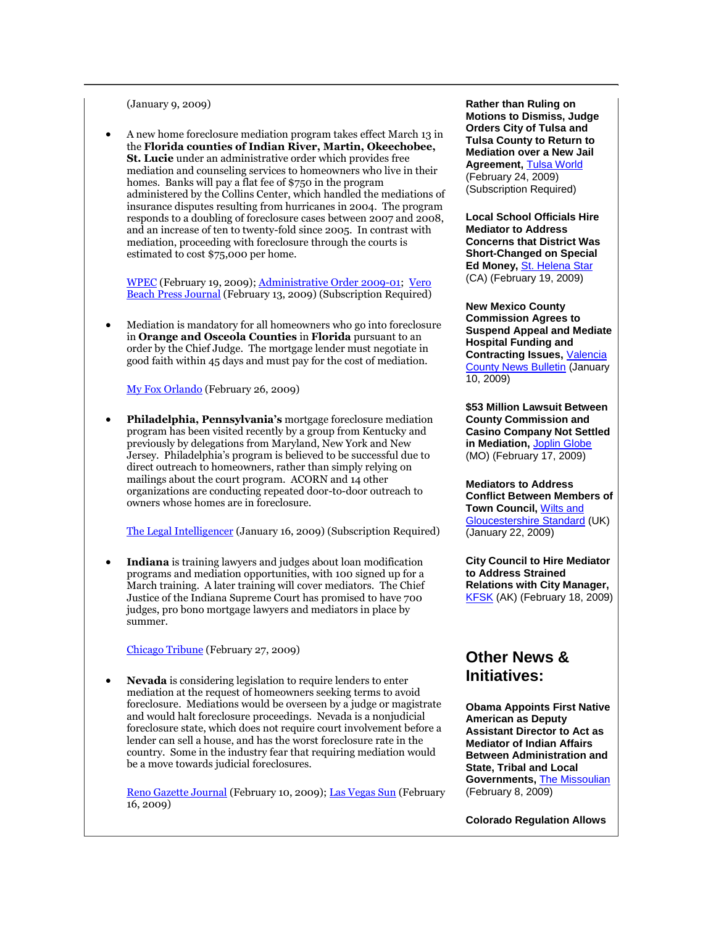(January 9, 2009)

 A new home foreclosure mediation program takes effect March 13 in the **Florida counties of Indian River, Martin, Okeechobee, St. Lucie** under an administrative order which provides free mediation and counseling services to homeowners who live in their homes. Banks will pay a flat fee of \$750 in the program administered by the Collins Center, which handled the mediations of insurance disputes resulting from hurricanes in 2004. The program responds to a doubling of foreclosure cases between 2007 and 2008, and an increase of ten to twenty-fold since 2005. In contrast with mediation, proceeding with foreclosure through the courts is estimated to cost \$75,000 per home.

[WPEC](http://www.cbs12.com/common/printer/view.php?db=wpec&id=4714731) (February 19, 2009)[; Administrative Order 2009-01;](http://www.circuit19.org/) [Vero](http://tinyurl.com/ba7edl)  [Beach Press Journal](http://tinyurl.com/ba7edl) (February 13, 2009) (Subscription Required)

 Mediation is mandatory for all homeowners who go into foreclosure in **Orange and Osceola Counties** in **Florida** pursuant to an order by the Chief Judge. The mortgage lender must negotiate in good faith within 45 days and must pay for the cost of mediation.

[My Fox Orlando](http://www.myfoxorlando.com/dpp/news/022509Foreclosure_mediation) (February 26, 2009)

 **Philadelphia, Pennsylvania's** mortgage foreclosure mediation program has been visited recently by a group from Kentucky and previously by delegations from Maryland, New York and New Jersey. Philadelphia's program is believed to be successful due to direct outreach to homeowners, rather than simply relying on mailings about the court program. ACORN and 14 other organizations are conducting repeated door-to-door outreach to owners whose homes are in foreclosure.

[The Legal Intelligencer](http://tinyurl.com/djl4a9) (January 16, 2009) (Subscription Required)

 **Indiana** is training lawyers and judges about loan modification programs and mediation opportunities, with 100 signed up for a March training. A later training will cover mediators. The Chief Justice of the Indiana Supreme Court has promised to have 700 judges, pro bono mortgage lawyers and mediators in place by summer.

[Chicago Tribune](http://www.chicagotribune.com/news/chi-ap-in-foreclosures-atto,0,1928617,print.story) (February 27, 2009)

 **Nevada** is considering legislation to require lenders to enter mediation at the request of homeowners seeking terms to avoid foreclosure. Mediations would be overseen by a judge or magistrate and would halt foreclosure proceedings. Nevada is a nonjudicial foreclosure state, which does not require court involvement before a lender can sell a house, and has the worst foreclosure rate in the country. Some in the industry fear that requiring mediation would be a move towards judicial foreclosures.

[Reno Gazette Journal](http://www.rgj.com/article/20090210/NEWS11/902100350/1321/NEWS) (February 10, 2009); [Las Vegas Sun](http://www.lasvegassun.com/news/2009/feb/16/some-foreclosure-relief) (February 16, 2009)

**Rather than Ruling on Motions to Dismiss, Judge Orders City of Tulsa and Tulsa County to Return to Mediation over a New Jail Agreement,** [Tulsa World](http://tinyurl.com/ad3fav) (February 24, 2009) (Subscription Required)

**Local School Officials Hire Mediator to Address Concerns that District Was Short-Changed on Special Ed Money,** [St. Helena Star](http://www.sthelenastar.com/articles/2009/02/19/news/local/doc499cb0f46781e628108792.txt) (CA) (February 19, 2009)

**New Mexico County Commission Agrees to Suspend Appeal and Mediate Hospital Funding and Contracting Issues,** [Valencia](http://www.news-bulletin.com/cgi-bin/print_it_nb.pl)  [County News Bulletin](http://www.news-bulletin.com/cgi-bin/print_it_nb.pl) (January 10, 2009)

**\$53 Million Lawsuit Between County Commission and Casino Company Not Settled in Mediation,** [Joplin Globe](http://www.joplinglobe.com/neo_sek/local_story_048222011.html) (MO) (February 17, 2009)

**Mediators to Address Conflict Between Members of Town Council,** [Wilts and](http://www.wiltsglosstandard.co.uk/news/rss)  [Gloucestershire Standard](http://www.wiltsglosstandard.co.uk/news/rss) (UK) (January 22, 2009)

**City Council to Hire Mediator to Address Strained Relations with City Manager,**  [KFSK](http://kfsk.org/modules/local_news/index.php?op=centerBlock&ID=328) (AK) (February 18, 2009)

#### **Other News & Initiatives:**

**Obama Appoints First Native American as Deputy Assistant Director to Act as Mediator of Indian Affairs Between Administration and State, Tribal and Local Governments,** [The Missoulian](http://www.missoulian.com/articles/2009/02/08/news/local/news04.txt) (February 8, 2009)

**Colorado Regulation Allows**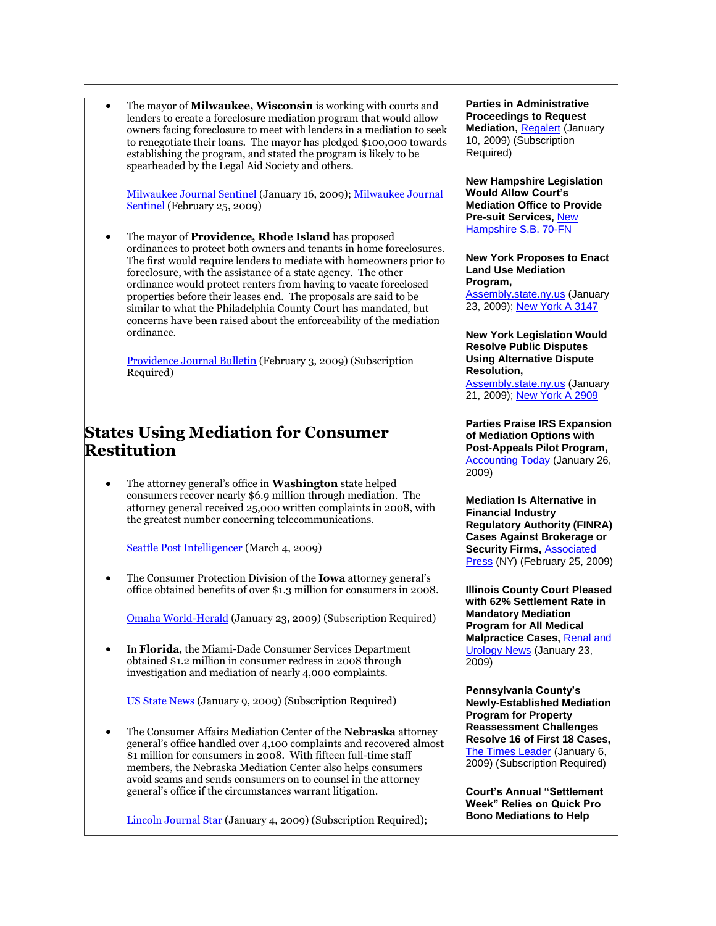The mayor of **Milwaukee, Wisconsin** is working with courts and lenders to create a foreclosure mediation program that would allow owners facing foreclosure to meet with lenders in a mediation to seek to renegotiate their loans. The mayor has pledged \$100,000 towards establishing the program, and stated the program is likely to be spearheaded by the Legal Aid Society and others.

[Milwaukee Journal Sentinel](http://tinyurl.com/az8vds) (January 16, 2009); [Milwaukee Journal](http://tinyurl.com/d3ec8w)  [Sentinel](http://tinyurl.com/d3ec8w)</u> (February 25, 2009)

 The mayor of **Providence, Rhode Island** has proposed ordinances to protect both owners and tenants in home foreclosures. The first would require lenders to mediate with homeowners prior to foreclosure, with the assistance of a state agency. The other ordinance would protect renters from having to vacate foreclosed properties before their leases end. The proposals are said to be similar to what the Philadelphia County Court has mandated, but concerns have been raised about the enforceability of the mediation ordinance.

[Providence Journal Bulletin](http://tinyurl.com/czesme) (February 3, 2009) (Subscription Required)

# **States Using Mediation for Consumer Restitution**

 The attorney general's office in **Washington** state helped consumers recover nearly \$6.9 million through mediation. The attorney general received 25,000 written complaints in 2008, with the greatest number concerning telecommunications.

[Seattle Post Intelligencer](http://seattlepi.nwsource.com/local/6420ap_wa_consumer_complaints.html) (March 4, 2009)

 The Consumer Protection Division of the **Iowa** attorney general's office obtained benefits of over \$1.3 million for consumers in 2008.

[Omaha World-Herald](http://tinyurl.com/cajqct) (January 23, 2009) (Subscription Required)

 In **Florida**, the Miami-Dade Consumer Services Department obtained \$1.2 million in consumer redress in 2008 through investigation and mediation of nearly 4,000 complaints.

[US State News](http://tinyurl.com/ahpwrt) (January 9, 2009) (Subscription Required)

 The Consumer Affairs Mediation Center of the **Nebraska** attorney general's office handled over 4,100 complaints and recovered almost \$1 million for consumers in 2008. With fifteen full-time staff members, the Nebraska Mediation Center also helps consumers avoid scams and sends consumers on to counsel in the attorney general's office if the circumstances warrant litigation.

[Lincoln Journal Star](http://tinyurl.com/d8wkhu) (January 4, 2009) (Subscription Required);

**Parties in Administrative Proceedings to Request Mediation, [Regalert](http://tinyurl.com/aklr6o) (January** 10, 2009) (Subscription Required)

**New Hampshire Legislation Would Allow Court's Mediation Office to Provide Pre-suit Services,** [New](http://www.gencourt.state.nh.us/legislation/2009/SB0070.html)  [Hampshire S.B. 70-FN](http://www.gencourt.state.nh.us/legislation/2009/SB0070.html)

#### **New York Proposes to Enact Land Use Mediation Program,**

[Assembly.state.ny.us](http://assembly.state.ny.us/leg/?bn=A03147) (January 23, 2009)[; New York A 3147](http://assembly.state.ny.us/leg/?bn=A03147&sh=t)

#### **New York Legislation Would Resolve Public Disputes Using Alternative Dispute Resolution,**

[Assembly.state.ny.us](http://assembly.state.ny.us/leg/?bn=A02909) (January 21, 2009)[; New York A 2909](http://assembly.state.ny.us/leg/?bn=A02909&sh=t)

**Parties Praise IRS Expansion of Mediation Options with Post-Appeals Pilot Program,**  [Accounting Today](http://tinyurl.com/c6exxc) (January 26, 2009)

**Mediation Is Alternative in Financial Industry Regulatory Authority (FINRA) Cases Against Brokerage or Security Firms,** [Associated](http://tinyurl.com/c6qtqf)  [Press](http://tinyurl.com/c6qtqf) (NY) (February 25, 2009)

**Illinois County Court Pleased with 62% Settlement Rate in Mandatory Mediation Program for All Medical Malpractice Cases,** [Renal and](http://www.renalandurologynews.com/Mediation-Decreases-Malpractice-Case-Load/article/126304)  [Urology News](http://www.renalandurologynews.com/Mediation-Decreases-Malpractice-Case-Load/article/126304) (January 23, 2009)

**Pennsylvania County's Newly-Established Mediation Program for Property Reassessment Challenges Resolve 16 of First 18 Cases,**  [The Times Leader](http://tinyurl.com/ba7ajv) (January 6, 2009) (Subscription Required)

**Court's Annual "Settlement Week" Relies on Quick Pro Bono Mediations to Help**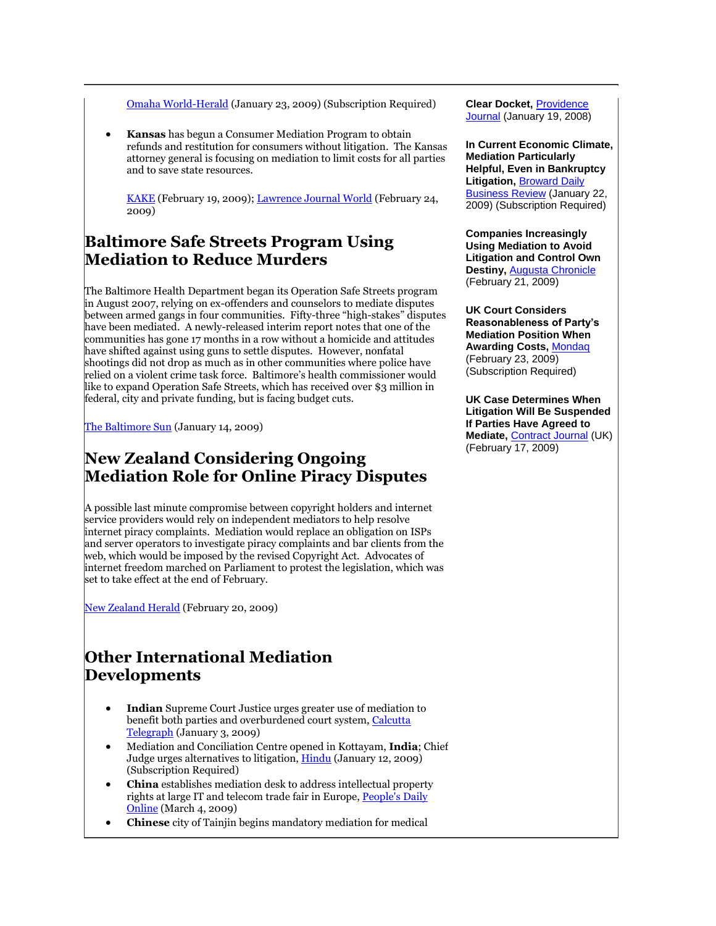[Omaha World-Herald](http://tinyurl.com/cajqct) (January 23, 2009) (Subscription Required)

 **Kansas** has begun a Consumer Mediation Program to obtain refunds and restitution for consumers without litigation. The Kansas attorney general is focusing on mediation to limit costs for all parties and to save state resources.

[KAKE](http://www.kake.com/news/headlines/39851562.html) (February 19, 2009); [Lawrence Journal World](http://www2.ljworld.com/weblogs/common_cents/2009/feb/24/mediation-tried-for-consumer-complaints) (February 24, 2009)

### **Baltimore Safe Streets Program Using Mediation to Reduce Murders**

The Baltimore Health Department began its Operation Safe Streets program in August 2007, relying on ex-offenders and counselors to mediate disputes between armed gangs in four communities. Fifty-three "high-stakes" disputes have been mediated. A newly-released interim report notes that one of the communities has gone 17 months in a row without a homicide and attitudes have shifted against using guns to settle disputes. However, nonfatal shootings did not drop as much as in other communities where police have relied on a violent crime task force. Baltimore's health commissioner would like to expand Operation Safe Streets, which has received over \$3 million in federal, city and private funding, but is facing budget cuts.

[The Baltimore Sun](http://www.baltimoresun.com/news/local/bal-md.hermann14jan14,0,4417413.column) (January 14, 2009)

# **New Zealand Considering Ongoing Mediation Role for Online Piracy Disputes**

A possible last minute compromise between copyright holders and internet service providers would rely on independent mediators to help resolve internet piracy complaints. Mediation would replace an obligation on ISPs and server operators to investigate piracy complaints and bar clients from the web, which would be imposed by the revised Copyright Act. Advocates of internet freedom marched on Parliament to protest the legislation, which was set to take effect at the end of February.

[New Zealand Herald](http://www.nzherald.co.nz/technology/news/article.cfm?c_id=5&objectid=10557670) (February 20, 2009)

### **Other International Mediation Developments**

- **Indian** Supreme Court Justice urges greater use of mediation to benefit both parties and overburdened court system, Calcutta [Telegraph](http://www.telegraphindia.com/1090104/jsp/jharkhand/story_10340774.jsp) (January 3, 2009)
- Mediation and Conciliation Centre opened in Kottayam, **India**; Chief Judge urges alternatives to litigation, [Hindu](http://tinyurl.com/cnxlrp) (January 12, 2009) (Subscription Required)
- **China** establishes mediation desk to address intellectual property rights at large IT and telecom trade fair in Europe, [People's Daily](http://english.people.com.cn/90001/90778/90857/90861/6605542.html)  [Online](http://english.people.com.cn/90001/90778/90857/90861/6605542.html) (March 4, 2009)
- **Chinese** city of Tainjin begins mandatory mediation for medical

**Clear Docket,** [Providence](http://sitelife.projo.com/ver1.0/Direct/Process?sid=sitelife.projo.com)  [Journal](http://sitelife.projo.com/ver1.0/Direct/Process?sid=sitelife.projo.com) (January 19, 2008)

**In Current Economic Climate, Mediation Particularly Helpful, Even in Bankruptcy Litigation,** [Broward Daily](http://tinyurl.com/c4vqy2)  [Business Review](http://tinyurl.com/c4vqy2) (January 22, 2009) (Subscription Required)

**Companies Increasingly Using Mediation to Avoid Litigation and Control Own Destiny,** [Augusta Chronicle](http://chronicle.augusta.com/cgi-bin/print_story.pl) (February 21, 2009)

**UK Court Considers Reasonableness of Party's Mediation Position When Awarding Costs,** [Mondaq](http://tinyurl.com/alglmo) (February 23, 2009) (Subscription Required)

**UK Case Determines When Litigation Will Be Suspended If Parties Have Agreed to Mediate,** [Contract Journal](http://tinyurl.com/b29ljk) (UK) (February 17, 2009)